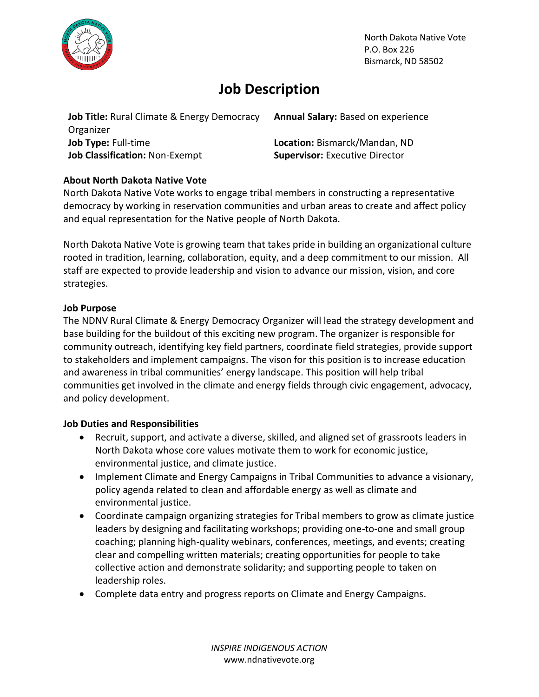

# **Job Description**

**Job Title:** Rural Climate & Energy Democracy Organizer **Job Type:** Full-time **Location:** Bismarck/Mandan, ND **Job Classification:** Non-Exempt **Supervisor:** Executive Director

**Annual Salary:** Based on experience

## **About North Dakota Native Vote**

North Dakota Native Vote works to engage tribal members in constructing a representative democracy by working in reservation communities and urban areas to create and affect policy and equal representation for the Native people of North Dakota.

North Dakota Native Vote is growing team that takes pride in building an organizational culture rooted in tradition, learning, collaboration, equity, and a deep commitment to our mission. All staff are expected to provide leadership and vision to advance our mission, vision, and core strategies.

#### **Job Purpose**

The NDNV Rural Climate & Energy Democracy Organizer will lead the strategy development and base building for the buildout of this exciting new program. The organizer is responsible for community outreach, identifying key field partners, coordinate field strategies, provide support to stakeholders and implement campaigns. The vison for this position is to increase education and awareness in tribal communities' energy landscape. This position will help tribal communities get involved in the climate and energy fields through civic engagement, advocacy, and policy development.

### **Job Duties and Responsibilities**

- Recruit, support, and activate a diverse, skilled, and aligned set of grassroots leaders in North Dakota whose core values motivate them to work for economic justice, environmental justice, and climate justice.
- Implement Climate and Energy Campaigns in Tribal Communities to advance a visionary, policy agenda related to clean and affordable energy as well as climate and environmental justice.
- Coordinate campaign organizing strategies for Tribal members to grow as climate justice leaders by designing and facilitating workshops; providing one-to-one and small group coaching; planning high-quality webinars, conferences, meetings, and events; creating clear and compelling written materials; creating opportunities for people to take collective action and demonstrate solidarity; and supporting people to taken on leadership roles.
- Complete data entry and progress reports on Climate and Energy Campaigns.

*INSPIRE INDIGENOUS ACTION* www.ndnativevote.org